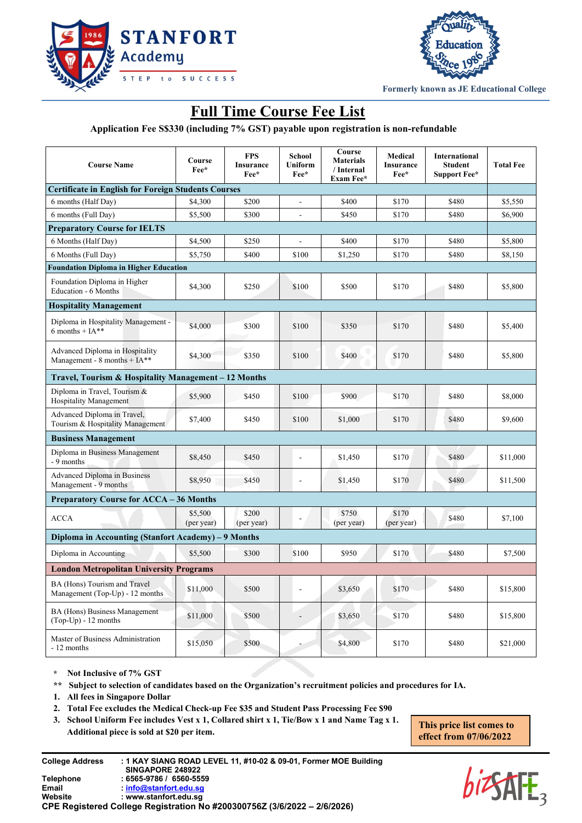



**Formerly known as JE Educational College**

## **Full Time Course Fee List**

**Application Fee S\$330 (including 7% GST) payable upon registration is non-refundable**

| <b>Course Name</b>                                                | Course<br>Fee*                                 | <b>FPS</b><br><b>Insurance</b><br>Fee* | School<br>Uniform<br>Fee* | Course<br><b>Materials</b><br>/ Internal<br>Exam Fee* | Medical<br>Insurance<br>Fee* | <b>International</b><br><b>Student</b><br><b>Support Fee*</b> | <b>Total Fee</b> |  |  |
|-------------------------------------------------------------------|------------------------------------------------|----------------------------------------|---------------------------|-------------------------------------------------------|------------------------------|---------------------------------------------------------------|------------------|--|--|
| <b>Certificate in English for Foreign Students Courses</b>        |                                                |                                        |                           |                                                       |                              |                                                               |                  |  |  |
| 6 months (Half Day)                                               | \$4,300                                        | \$200                                  | $\overline{a}$            | \$400                                                 | \$170                        | \$480                                                         | \$5,550          |  |  |
| 6 months (Full Day)                                               | \$5,500                                        | \$300                                  | ÷,                        | \$450                                                 | \$170                        | \$480                                                         | \$6,900          |  |  |
| <b>Preparatory Course for IELTS</b>                               |                                                |                                        |                           |                                                       |                              |                                                               |                  |  |  |
| 6 Months (Half Day)                                               | \$4,500                                        | \$250                                  |                           | \$400                                                 | \$170                        | \$480                                                         | \$5,800          |  |  |
| 6 Months (Full Day)                                               | \$5,750                                        | \$400                                  | \$100                     | \$1,250                                               | \$170                        | \$480                                                         | \$8,150          |  |  |
| <b>Foundation Diploma in Higher Education</b>                     |                                                |                                        |                           |                                                       |                              |                                                               |                  |  |  |
| Foundation Diploma in Higher<br>Education - 6 Months              | \$4,300                                        | \$250                                  | \$100                     | \$500                                                 | \$170                        | \$480                                                         | \$5,800          |  |  |
| <b>Hospitality Management</b>                                     |                                                |                                        |                           |                                                       |                              |                                                               |                  |  |  |
| Diploma in Hospitality Management -<br>6 months + $IA**$          | \$4,000                                        | \$300                                  | \$100                     | \$350                                                 | \$170                        | \$480                                                         | \$5,400          |  |  |
| Advanced Diploma in Hospitality<br>Management - 8 months + $IA**$ | \$4,300                                        | \$350                                  | \$100                     | \$400                                                 | \$170                        | \$480                                                         | \$5,800          |  |  |
| Travel, Tourism & Hospitality Management – 12 Months              |                                                |                                        |                           |                                                       |                              |                                                               |                  |  |  |
| Diploma in Travel, Tourism &<br><b>Hospitality Management</b>     | \$5,900                                        | \$450                                  | \$100                     | \$900                                                 | \$170                        | \$480                                                         | \$8,000          |  |  |
| Advanced Diploma in Travel,<br>Tourism & Hospitality Management   | \$7,400                                        | \$450                                  | \$100                     | \$1,000                                               | \$170                        | \$480                                                         | \$9,600          |  |  |
| <b>Business Management</b>                                        |                                                |                                        |                           |                                                       |                              |                                                               |                  |  |  |
| Diploma in Business Management<br>- 9 months                      | \$8,450                                        | \$450                                  | ÷,                        | \$1,450                                               | \$170                        | \$480                                                         | \$11,000         |  |  |
| <b>Advanced Diploma in Business</b><br>Management - 9 months      | \$8,950                                        | \$450                                  | ä,                        | \$1,450                                               | \$170                        | \$480                                                         | \$11,500         |  |  |
| <b>Preparatory Course for ACCA - 36 Months</b>                    |                                                |                                        |                           |                                                       |                              |                                                               |                  |  |  |
| <b>ACCA</b>                                                       | \$5,500<br>(per year)                          | \$200<br>(per year)                    |                           | \$750<br>(per year)                                   | \$170<br>(per year)          | \$480                                                         | \$7,100          |  |  |
| Diploma in Accounting (Stanfort Academy) – 9 Months               |                                                |                                        |                           |                                                       |                              |                                                               |                  |  |  |
| Diploma in Accounting                                             | \$5,500                                        | \$300                                  | \$100                     | \$950                                                 | \$170                        | \$480                                                         | \$7,500          |  |  |
|                                                                   | <b>London Metropolitan University Programs</b> |                                        |                           |                                                       |                              |                                                               |                  |  |  |
| BA (Hons) Tourism and Travel<br>Management (Top-Up) - 12 months   | \$11,000                                       | \$500                                  | L,                        | \$3,650                                               | \$170                        | \$480                                                         | \$15,800         |  |  |
| BA (Hons) Business Management<br>$(Top-Up) - 12$ months           | \$11,000                                       | \$500                                  |                           | \$3,650                                               | \$170                        | \$480                                                         | \$15,800         |  |  |
| Master of Business Administration<br>- 12 months                  | \$15,050                                       | \$500                                  |                           | \$4,800                                               | \$170                        | \$480                                                         | \$21,000         |  |  |

**\* Not Inclusive of 7% GST**

**\*\* Subject to selection of candidates based on the Organization's recruitment policies and procedures for IA.**

- **1. All fees in Singapore Dollar**
- **2. Total Fee excludes the Medical Check-up Fee \$35 and Student Pass Processing Fee \$90**

**3. School Uniform Fee includes Vest x 1, Collared shirt x 1, Tie/Bow x 1 and Name Tag x 1. Additional piece is sold at \$20 per item.**

**This price list comes to effect from 07/06/2022**

| <b>College Address</b> | : 1 KAY SIANG ROAD LEVEL 11, #10-02 & 09-01, Former MOE Building         |
|------------------------|--------------------------------------------------------------------------|
|                        | SINGAPORE 248922                                                         |
| Telephone              | : 6565-9786 / 6560-5559                                                  |
| Email                  | info@stanfort.edu.sq                                                     |
| Website                | : www.stanfort.edu.sq                                                    |
|                        | CPE Registered College Registration No #200300756Z (3/6/2022 – 2/6/2026) |